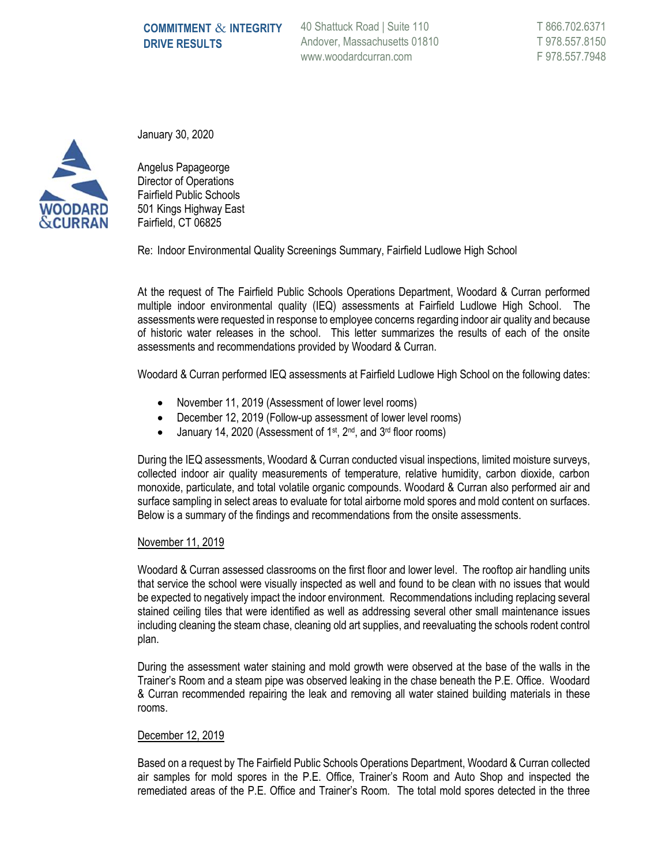40 Shattuck Road | Suite 110 Andover, Massachusetts 01810 www.woodardcurran.com



January 30, 2020

Angelus Papageorge Director of Operations Fairfield Public Schools 501 Kings Highway East Fairfield, CT 06825

Re: Indoor Environmental Quality Screenings Summary, Fairfield Ludlowe High School

At the request of The Fairfield Public Schools Operations Department, Woodard & Curran performed multiple indoor environmental quality (IEQ) assessments at Fairfield Ludlowe High School. The assessments were requested in response to employee concerns regarding indoor air quality and because of historic water releases in the school. This letter summarizes the results of each of the onsite assessments and recommendations provided by Woodard & Curran.

Woodard & Curran performed IEQ assessments at Fairfield Ludlowe High School on the following dates:

- November 11, 2019 (Assessment of lower level rooms)
- December 12, 2019 (Follow-up assessment of lower level rooms)
- January 14, 2020 (Assessment of 1<sup>st</sup>, 2<sup>nd</sup>, and 3<sup>rd</sup> floor rooms)

During the IEQ assessments, Woodard & Curran conducted visual inspections, limited moisture surveys, collected indoor air quality measurements of temperature, relative humidity, carbon dioxide, carbon monoxide, particulate, and total volatile organic compounds. Woodard & Curran also performed air and surface sampling in select areas to evaluate for total airborne mold spores and mold content on surfaces. Below is a summary of the findings and recommendations from the onsite assessments.

## November 11, 2019

Woodard & Curran assessed classrooms on the first floor and lower level. The rooftop air handling units that service the school were visually inspected as well and found to be clean with no issues that would be expected to negatively impact the indoor environment. Recommendations including replacing several stained ceiling tiles that were identified as well as addressing several other small maintenance issues including cleaning the steam chase, cleaning old art supplies, and reevaluating the schools rodent control plan.

During the assessment water staining and mold growth were observed at the base of the walls in the Trainer's Room and a steam pipe was observed leaking in the chase beneath the P.E. Office. Woodard & Curran recommended repairing the leak and removing all water stained building materials in these rooms.

## December 12, 2019

Based on a request by The Fairfield Public Schools Operations Department, Woodard & Curran collected air samples for mold spores in the P.E. Office, Trainer's Room and Auto Shop and inspected the remediated areas of the P.E. Office and Trainer's Room. The total mold spores detected in the three